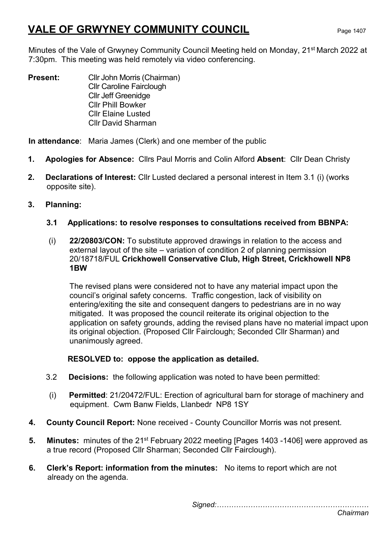# VALE OF GRWYNEY COMMUNITY COUNCIL Page 1407

Minutes of the Vale of Grwyney Community Council Meeting held on Monday, 21st March 2022 at 7:30pm. This meeting was held remotely via video conferencing.

**Present:** Cllr John Morris (Chairman) Cllr Caroline Fairclough Cllr Jeff Greenidge Cllr Phill Bowker Cllr Elaine Lusted Cllr David Sharman

In attendance: Maria James (Clerk) and one member of the public

- 1. Apologies for Absence: Cllrs Paul Morris and Colin Alford Absent: Cllr Dean Christy
- 2. Declarations of Interest: Cllr Lusted declared a personal interest in Item 3.1 (i) (works opposite site).
- 3. Planning:
	- 3.1 Applications: to resolve responses to consultations received from BBNPA:
	- (i) 22/20803/CON: To substitute approved drawings in relation to the access and external layout of the site – variation of condition 2 of planning permission 20/18718/FUL Crickhowell Conservative Club, High Street, Crickhowell NP8 1BW

The revised plans were considered not to have any material impact upon the council's original safety concerns. Traffic congestion, lack of visibility on entering/exiting the site and consequent dangers to pedestrians are in no way mitigated. It was proposed the council reiterate its original objection to the application on safety grounds, adding the revised plans have no material impact upon its original objection. (Proposed Cllr Fairclough; Seconded Cllr Sharman) and unanimously agreed.

RESOLVED to: oppose the application as detailed.

- 3.2 Decisions: the following application was noted to have been permitted:
- (i) Permitted: 21/20472/FUL: Erection of agricultural barn for storage of machinery and equipment. Cwm Banw Fields, Llanbedr NP8 1SY
- 4. County Council Report: None received County Councillor Morris was not present.
- 5. Minutes: minutes of the 21<sup>st</sup> February 2022 meeting [Pages 1403 -1406] were approved as a true record (Proposed Cllr Sharman; Seconded Cllr Fairclough).
- 6. Clerk's Report: information from the minutes: No items to report which are not already on the agenda.

Signed:………………………………………………………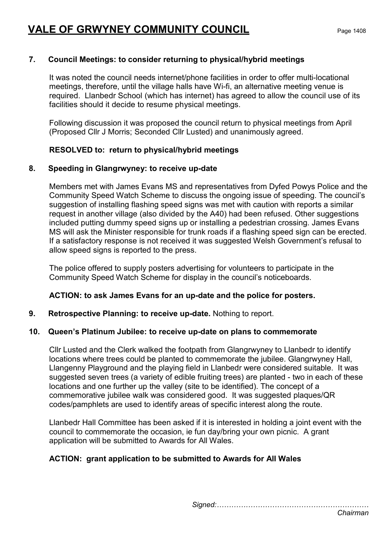# 7. Council Meetings: to consider returning to physical/hybrid meetings

It was noted the council needs internet/phone facilities in order to offer multi-locational meetings, therefore, until the village halls have Wi-fi, an alternative meeting venue is required. Llanbedr School (which has internet) has agreed to allow the council use of its facilities should it decide to resume physical meetings.

Following discussion it was proposed the council return to physical meetings from April (Proposed Cllr J Morris; Seconded Cllr Lusted) and unanimously agreed.

# RESOLVED to: return to physical/hybrid meetings

# 8. Speeding in Glangrwyney: to receive up-date

Members met with James Evans MS and representatives from Dyfed Powys Police and the Community Speed Watch Scheme to discuss the ongoing issue of speeding. The council's suggestion of installing flashing speed signs was met with caution with reports a similar request in another village (also divided by the A40) had been refused. Other suggestions included putting dummy speed signs up or installing a pedestrian crossing. James Evans MS will ask the Minister responsible for trunk roads if a flashing speed sign can be erected. If a satisfactory response is not received it was suggested Welsh Government's refusal to allow speed signs is reported to the press.

The police offered to supply posters advertising for volunteers to participate in the Community Speed Watch Scheme for display in the council's noticeboards.

# ACTION: to ask James Evans for an up-date and the police for posters.

# 9. Retrospective Planning: to receive up-date. Nothing to report.

# 10. Queen's Platinum Jubilee: to receive up-date on plans to commemorate

Cllr Lusted and the Clerk walked the footpath from Glangrwyney to Llanbedr to identify locations where trees could be planted to commemorate the jubilee. Glangrwyney Hall, Llangenny Playground and the playing field in Llanbedr were considered suitable. It was suggested seven trees (a variety of edible fruiting trees) are planted - two in each of these locations and one further up the valley (site to be identified). The concept of a commemorative jubilee walk was considered good. It was suggested plaques/QR codes/pamphlets are used to identify areas of specific interest along the route.

Llanbedr Hall Committee has been asked if it is interested in holding a joint event with the council to commemorate the occasion, ie fun day/bring your own picnic. A grant application will be submitted to Awards for All Wales.

# ACTION: grant application to be submitted to Awards for All Wales

Signed:………………………………………………………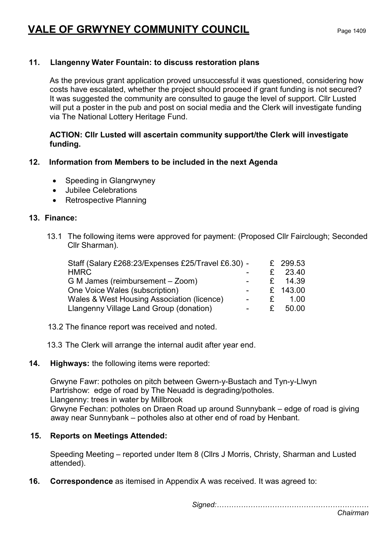# VALE OF GRWYNEY COMMUNITY COUNCIL Page 1409

# 11. Llangenny Water Fountain: to discuss restoration plans

As the previous grant application proved unsuccessful it was questioned, considering how costs have escalated, whether the project should proceed if grant funding is not secured? It was suggested the community are consulted to gauge the level of support. Cllr Lusted will put a poster in the pub and post on social media and the Clerk will investigate funding via The National Lottery Heritage Fund.

## ACTION: Cllr Lusted will ascertain community support/the Clerk will investigate funding.

# 12. Information from Members to be included in the next Agenda

- Speeding in Glangrwyney
- Jubilee Celebrations
- Retrospective Planning

#### 13. Finance:

13.1 The following items were approved for payment: (Proposed Cllr Fairclough; Seconded Cllr Sharman).

| Staff (Salary £268:23/Expenses £25/Travel £6.30) - |                |              | £ 299.53 |
|----------------------------------------------------|----------------|--------------|----------|
| <b>HMRC</b>                                        |                |              | 23.40    |
| G M James (reimbursement - Zoom)                   |                | $\mathbf{F}$ | 14.39    |
| One Voice Wales (subscription)                     |                |              | £ 143.00 |
| Wales & West Housing Association (licence)         | $\blacksquare$ | £            | 1.00     |
| Llangenny Village Land Group (donation)            |                | £.           | 50.00    |

13.2 The finance report was received and noted.

13.3 The Clerk will arrange the internal audit after year end.

#### 14. Highways: the following items were reported:

Grwyne Fawr: potholes on pitch between Gwern-y-Bustach and Tyn-y-Llwyn Partrishow: edge of road by The Neuadd is degrading/potholes. Llangenny: trees in water by Millbrook Grwyne Fechan: potholes on Draen Road up around Sunnybank – edge of road is giving away near Sunnybank – potholes also at other end of road by Henbant.

# 15. Reports on Meetings Attended:

Speeding Meeting – reported under Item 8 (Cllrs J Morris, Christy, Sharman and Lusted attended).

16. Correspondence as itemised in Appendix A was received. It was agreed to:

Signed:………………………………………………………